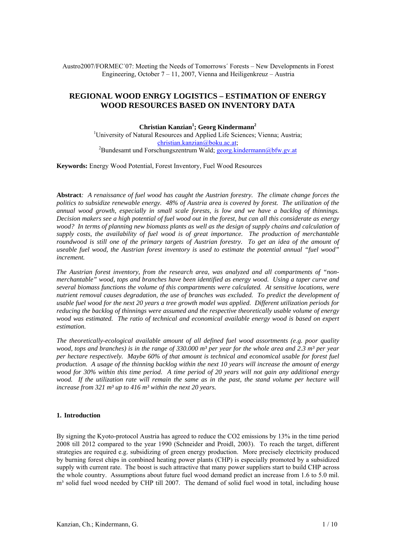Austro2007/FORMEC´07: Meeting the Needs of Tomorrows´ Forests – New Developments in Forest Engineering, October 7 – 11, 2007, Vienna and Heiligenkreuz – Austria

# **REGIONAL WOOD ENRGY LOGISTICS – ESTIMATION OF ENERGY WOOD RESOURCES BASED ON INVENTORY DATA**

**Christian Kanzian<sup>1</sup> ; Georg Kindermann2** <sup>1</sup>University of Natural Resources and Applied Life Sciences; Vienna; Austria; ehristian.kanzian@boku.ac.at;<br><sup>2</sup>Bundesamt und Forschungszentrum Wald; <u>georg.kindermann@bfw.gv.at</u>

**Keywords:** Energy Wood Potential, Forest Inventory, Fuel Wood Resources

**Abstract***: A renaissance of fuel wood has caught the Austrian forestry. The climate change forces the politics to subsidize renewable energy. 48% of Austria area is covered by forest. The utilization of the annual wood growth, especially in small scale forests, is low and we have a backlog of thinnings. Decision makers see a high potential of fuel wood out in the forest, but can all this considerate as energy wood? In terms of planning new biomass plants as well as the design of supply chains and calculation of supply costs, the availability of fuel wood is of great importance. The production of merchantable roundwood is still one of the primary targets of Austrian forestry. To get an idea of the amount of useable fuel wood, the Austrian forest inventory is used to estimate the potential annual "fuel wood" increment.* 

*The Austrian forest inventory, from the research area, was analyzed and all compartments of "nonmerchantable" wood, tops and branches have been identified as energy wood. Using a taper curve and several biomass functions the volume of this compartments were calculated. At sensitive locations, were nutrient removal causes degradation, the use of branches was excluded. To predict the development of usable fuel wood for the next 20 years a tree growth model was applied. Different utilization periods for reducing the backlog of thinnings were assumed and the respective theoretically usable volume of energy wood was estimated. The ratio of technical and economical available energy wood is based on expert estimation.* 

*The theoretically-ecological available amount of all defined fuel wood assortments (e.g. poor quality wood, tops and branches) is in the range of 330.000 m<sup>3</sup> per year for the whole area and 2.3 m<sup>3</sup> per year per hectare respectively. Maybe 60% of that amount is technical and economical usable for forest fuel production. A usage of the thinning backlog within the next 10 years will increase the amount of energy wood for 30% within this time period. A time period of 20 years will not gain any additional energy wood.* If the utilization rate will remain the same as in the past, the stand volume per hectare will *increase from 321 m³ up to 416 m³ within the next 20 years.* 

## **1. Introduction**

By signing the Kyoto-protocol Austria has agreed to reduce the CO2 emissions by 13% in the time period 2008 till 2012 compared to the year 1990 (Schneider and Proidl, 2003). To reach the target, different strategies are required e.g. subsidizing of green energy production. More precisely electricity produced by burning forest chips in combined heating power plants (CHP) is especially promoted by a subsidized supply with current rate. The boost is such attractive that many power suppliers start to build CHP across the whole country. Assumptions about future fuel wood demand predict an increase from 1.6 to 5.0 mil. m<sup>3</sup> solid fuel wood needed by CHP till 2007. The demand of solid fuel wood in total, including house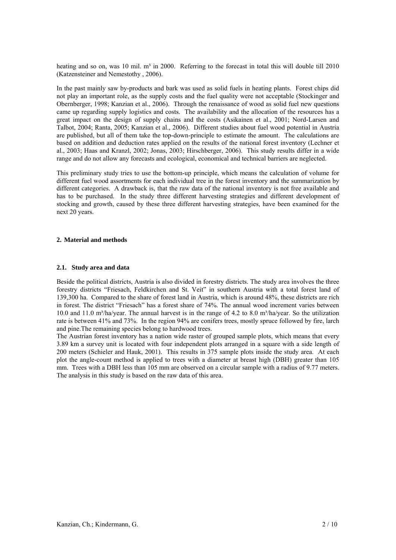heating and so on, was 10 mil.  $m<sup>3</sup>$  in 2000. Referring to the forecast in total this will double till 2010 (Katzensteiner and Nemestothy , 2006).

In the past mainly saw by-products and bark was used as solid fuels in heating plants. Forest chips did not play an important role, as the supply costs and the fuel quality were not acceptable (Stockinger and Obernberger, 1998; Kanzian et al., 2006). Through the renaissance of wood as solid fuel new questions came up regarding supply logistics and costs. The availability and the allocation of the resources has a great impact on the design of supply chains and the costs (Asikainen et al., 2001; Nord-Larsen and Talbot, 2004; Ranta, 2005; Kanzian et al., 2006). Different studies about fuel wood potential in Austria are published, but all of them take the top-down-principle to estimate the amount. The calculations are based on addition and deduction rates applied on the results of the national forest inventory (Lechner et al., 2003; Haas and Kranzl, 2002; Jonas, 2003; Hirschberger, 2006). This study results differ in a wide range and do not allow any forecasts and ecological, economical and technical barriers are neglected.

This preliminary study tries to use the bottom-up principle, which means the calculation of volume for different fuel wood assortments for each individual tree in the forest inventory and the summarization by different categories. A drawback is, that the raw data of the national inventory is not free available and has to be purchased. In the study three different harvesting strategies and different development of stocking and growth, caused by these three different harvesting strategies, have been examined for the next 20 years.

## **2. Material and methods**

## **2.1. Study area and data**

Beside the political districts, Austria is also divided in forestry districts. The study area involves the three forestry districts "Friesach, Feldkirchen and St. Veit" in southern Austria with a total forest land of 139,300 ha. Compared to the share of forest land in Austria, which is around 48%, these districts are rich in forest. The district "Friesach" has a forest share of 74%. The annual wood increment varies between 10.0 and 11.0 m<sup>3</sup>/ha/year. The annual harvest is in the range of 4.2 to 8.0 m<sup>3</sup>/ha/year. So the utilization rate is between 41% and 73%. In the region 94% are conifers trees, mostly spruce followed by fire, larch and pine.The remaining species belong to hardwood trees.

The Austrian forest inventory has a nation wide raster of grouped sample plots, which means that every 3.89 km a survey unit is located with four independent plots arranged in a square with a side length of 200 meters (Schieler and Hauk, 2001). This results in 375 sample plots inside the study area. At each plot the angle-count method is applied to trees with a diameter at breast high (DBH) greater than 105 mm. Trees with a DBH less than 105 mm are observed on a circular sample with a radius of 9.77 meters. The analysis in this study is based on the raw data of this area.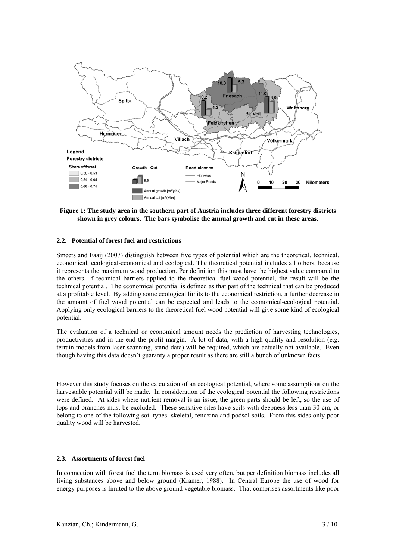

## **Figure 1: The study area in the southern part of Austria includes three different forestry districts shown in grey colours. The bars symbolise the annual growth and cut in these areas.**

#### **2.2. Potential of forest fuel and restrictions**

Smeets and Faaij (2007) distinguish between five types of potential which are the theoretical, technical, economical, ecological-economical and ecological. The theoretical potential includes all others, because it represents the maximum wood production. Per definition this must have the highest value compared to the others. If technical barriers applied to the theoretical fuel wood potential, the result will be the technical potential. The economical potential is defined as that part of the technical that can be produced at a profitable level. By adding some ecological limits to the economical restriction, a further decrease in the amount of fuel wood potential can be expected and leads to the economical-ecological potential. Applying only ecological barriers to the theoretical fuel wood potential will give some kind of ecological potential.

The evaluation of a technical or economical amount needs the prediction of harvesting technologies, productivities and in the end the profit margin. A lot of data, with a high quality and resolution (e.g. terrain models from laser scanning, stand data) will be required, which are actually not available. Even though having this data doesn't guaranty a proper result as there are still a bunch of unknown facts.

However this study focuses on the calculation of an ecological potential, where some assumptions on the harvestable potential will be made. In consideration of the ecological potential the following restrictions were defined. At sides where nutrient removal is an issue, the green parts should be left, so the use of tops and branches must be excluded. These sensitive sites have soils with deepness less than 30 cm, or belong to one of the following soil types: skeletal, rendzina and podsol soils. From this sides only poor quality wood will be harvested.

#### **2.3. Assortments of forest fuel**

In connection with forest fuel the term biomass is used very often, but per definition biomass includes all living substances above and below ground (Kramer, 1988). In Central Europe the use of wood for energy purposes is limited to the above ground vegetable biomass. That comprises assortments like poor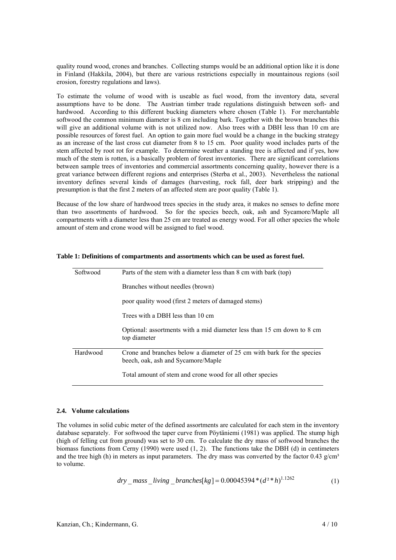quality round wood, crones and branches. Collecting stumps would be an additional option like it is done in Finland (Hakkila, 2004), but there are various restrictions especially in mountainous regions (soil erosion, forestry regulations and laws).

To estimate the volume of wood with is useable as fuel wood, from the inventory data, several assumptions have to be done. The Austrian timber trade regulations distinguish between soft- and hardwood. According to this different bucking diameters where chosen (Table 1). For merchantable softwood the common minimum diameter is 8 cm including bark. Together with the brown branches this will give an additional volume with is not utilized now. Also trees with a DBH less than 10 cm are possible resources of forest fuel. An option to gain more fuel would be a change in the bucking strategy as an increase of the last cross cut diameter from 8 to 15 cm. Poor quality wood includes parts of the stem affected by root rot for example. To determine weather a standing tree is affected and if yes, how much of the stem is rotten, is a basically problem of forest inventories. There are significant correlations between sample trees of inventories and commercial assortments concerning quality, however there is a great variance between different regions and enterprises (Sterba et al., 2003). Nevertheless the national inventory defines several kinds of damages (harvesting, rock fall, deer bark stripping) and the presumption is that the first 2 meters of an affected stem are poor quality (Table 1).

Because of the low share of hardwood trees species in the study area, it makes no senses to define more than two assortments of hardwood. So for the species beech, oak, ash and Sycamore/Maple all compartments with a diameter less than 25 cm are treated as energy wood. For all other species the whole amount of stem and crone wood will be assigned to fuel wood.

| Softwood | Parts of the stem with a diameter less than 8 cm with bark (top)                                             |  |  |  |
|----------|--------------------------------------------------------------------------------------------------------------|--|--|--|
|          | Branches without needles (brown)                                                                             |  |  |  |
|          | poor quality wood (first 2 meters of damaged stems)                                                          |  |  |  |
|          | Trees with a DBH less than 10 cm                                                                             |  |  |  |
|          | Optional: assortments with a mid diameter less than 15 cm down to 8 cm<br>top diameter                       |  |  |  |
| Hardwood | Crone and branches below a diameter of 25 cm with bark for the species<br>beech, oak, ash and Sycamore/Maple |  |  |  |
|          | Total amount of stem and crone wood for all other species                                                    |  |  |  |

#### **Table 1: Definitions of compartments and assortments which can be used as forest fuel.**

#### **2.4. Volume calculations**

The volumes in solid cubic meter of the defined assortments are calculated for each stem in the inventory database separately. For softwood the taper curve from Pöytäniemi (1981) was applied. The stump high (high of felling cut from ground) was set to 30 cm. To calculate the dry mass of softwood branches the biomass functions from Cerny (1990) were used (1, 2). The functions take the DBH (d) in centimeters and the tree high (h) in meters as input parameters. The dry mass was converted by the factor 0.43 g/cm<sup>3</sup> to volume.

$$
dry\_mass\_living\_branches[kg] = 0.00045394*(d^{2}*h)^{1.1262}
$$
 (1)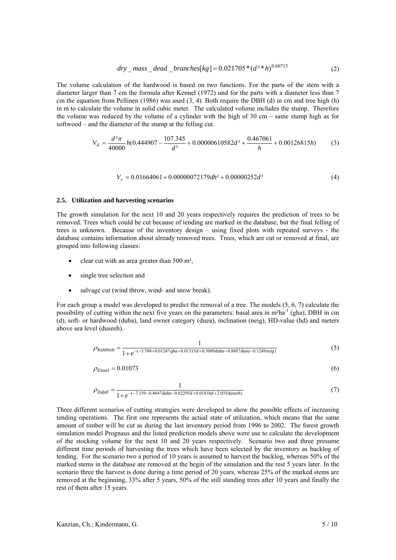$$
dry\_mass\_dead\_branches[kg] = 0.021705*(d^{2}*h)^{0.60715}
$$
\n(2)

The volume calculation of the hardwood is based on two functions. For the parts of the stem with a diameter larger than 7 cm the formula after Kennel (1972) und for the parts with a diameter less than 7 cm the equation from Pellinen (1986) was used  $(3, 4)$ . Both require the DBH  $(d)$  in cm and tree high  $(h)$ in m to calculate the volume in solid cubic meter. The calculated volume includes the stump. Therefore the volume was reduced by the volume of a cylinder with the high of 30 cm – same stump high as for softwood – and the diameter of the stump at the felling cut.

$$
V_d = \frac{d^2 \pi}{40000} h(0.444907 - \frac{107.345}{d^3} + 0.00000610582d^2 + \frac{0.467061}{h} + 0.00126815h)
$$
 (3)

$$
V_r = 0.01664061 + 0.00000072179dh^2 + 0.00000252d^3
$$
 (4)

## **2.5. Utilization and harvesting scenarios**

The growth simulation for the next 10 and 20 years respectively requires the prediction of trees to be removed. Trees which could be cut because of tending are marked in the database, but the final felling of trees is unknown. Because of the inventory design – using fixed plots with repeated surveys - the database contains information about already removed trees. Trees, which are cut or removed at final, are grouped into following classes:

- clear cut with an area greater than 500 m²,
- single tree selection and
- salvage cut (wind throw, wind- and snow break).

For each group a model was developed to predict the removal of a tree. The models (5, 6, 7) calculate the possibility of cutting within the next five years on the parameters: basal area in m<sup>2</sup>ha<sup>-1</sup> (gha), DBH in cm (d), soft- or hardwood (duba), land owner category (duea), inclination (neig), HD-value (hd) and meters above sea level (duseeh).

1

$$
\rho_{Kahlhib} = \frac{1}{1 + e^{-(3.708 + 0.01247gha + 0.01315d + 0.3089duba - 0.8887duea - 0.1249neig)}}\tag{5}
$$

$$
\rho_{\text{Einzel}} = 0.01073\tag{6}
$$

$$
\rho_{\text{Zufall}} = \frac{1}{1 + e^{-(7.159 - 0.8647 \cdot \text{duba} - 0.02295 \cdot \text{d} + 0.0181 \cdot \text{hd} + 2.035 \cdot \text{duseeh})}}(7)
$$

Three different scenarios of cutting strategies were developed to show the possible effects of increasing tending operations. The first one represents the actual state of utilization, which means that the same amount of timber will be cut as during the last inventory period from 1996 to 2002. The forest growth simulation model Prognaus and the listed prediction models above were use to calculate the development of the stocking volume for the next 10 and 20 years respectively. Scenario two and three presume different time periods of harvesting the trees which have been selected by the inventory as backlog of tending. For the scenario two a period of 10 years is assumed to harvest the backlog, whereas 50% of the marked stems in the database are removed at the begin of the simulation and the rest 5 years later. In the scenario three the harvest is done during a time period of 20 years, whereas 25% of the marked stems are removed at the beginning, 33% after 5 years, 50% of the still standing trees after 10 years and finally the rest of them after 15 years.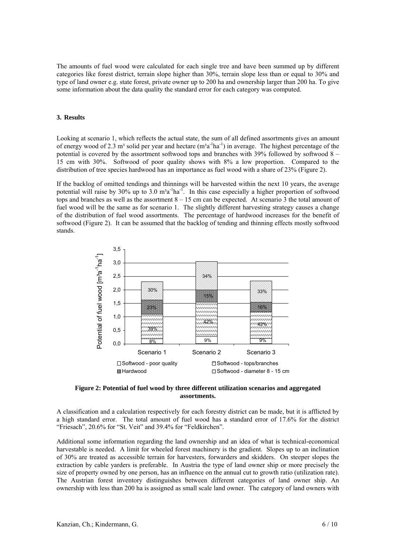The amounts of fuel wood were calculated for each single tree and have been summed up by different categories like forest district, terrain slope higher than 30%, terrain slope less than or equal to 30% and type of land owner e.g. state forest, private owner up to 200 ha and ownership larger than 200 ha. To give some information about the data quality the standard error for each category was computed.

#### **3. Results**

Looking at scenario 1, which reflects the actual state, the sum of all defined assortments gives an amount of energy wood of 2.3 m<sup>3</sup> solid per year and hectare  $(m^3a^{-1}ha^{-1})$  in average. The highest percentage of the potential is covered by the assortment softwood tops and branches with 39% followed by softwood 8 – 15 cm with 30%. Softwood of poor quality shows with 8% a low proportion. Compared to the distribution of tree species hardwood has an importance as fuel wood with a share of 23% (Figure 2).

If the backlog of omitted tendings and thinnings will be harvested within the next 10 years, the average potential will raise by 30% up to 3.0  $m<sup>3</sup>a<sup>-1</sup>ha<sup>-1</sup>$ . In this case especially a higher proportion of softwood tops and branches as well as the assortment  $8 - 15$  cm can be expected. At scenario 3 the total amount of fuel wood will be the same as for scenario 1. The slightly different harvesting strategy causes a change of the distribution of fuel wood assortments. The percentage of hardwood increases for the benefit of softwood (Figure 2). It can be assumed that the backlog of tending and thinning effects mostly softwood stands.



**Figure 2: Potential of fuel wood by three different utilization scenarios and aggregated assortments.** 

A classification and a calculation respectively for each forestry district can be made, but it is afflicted by a high standard error. The total amount of fuel wood has a standard error of 17.6% for the district "Friesach", 20.6% for "St. Veit" and 39.4% for "Feldkirchen".

Additional some information regarding the land ownership and an idea of what is technical-economical harvestable is needed. A limit for wheeled forest machinery is the gradient. Slopes up to an inclination of 30% are treated as accessible terrain for harvesters, forwarders and skidders. On steeper slopes the extraction by cable yarders is preferable. In Austria the type of land owner ship or more precisely the size of property owned by one person, has an influence on the annual cut to growth ratio (utilization rate). The Austrian forest inventory distinguishes between different categories of land owner ship. An ownership with less than 200 ha is assigned as small scale land owner. The category of land owners with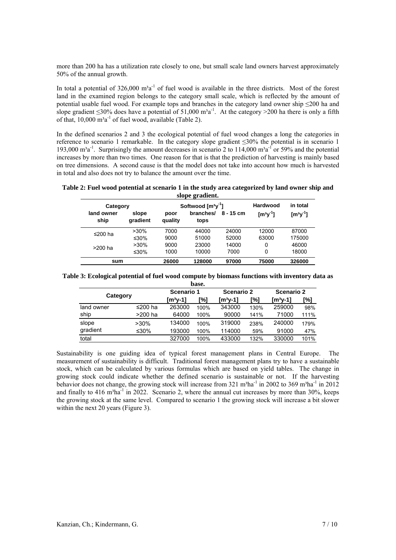more than 200 ha has a utilization rate closely to one, but small scale land owners harvest approximately 50% of the annual growth.

In total a potential of  $326,000 \text{ m}^3\text{a}^{-1}$  of fuel wood is available in the three districts. Most of the forest land in the examined region belongs to the category small scale, which is reflected by the amount of potential usable fuel wood. For example tops and branches in the category land owner ship ≤200 ha and slope gradient ≤30% does have a potential of 51,000 m<sup>3</sup>a<sup>-1</sup>. At the category >200 ha there is only a fifth of that,  $10,000 \text{ m}^3\text{a}^{-1}$  of fuel wood, available (Table 2).

In the defined scenarios 2 and 3 the ecological potential of fuel wood changes a long the categories in reference to scenario 1 remarkable. In the category slope gradient ≤30% the potential is in scenario 1 193,000  $m^3a^{-1}$ . Surprisingly the amount decreases in scenario 2 to 114,000  $m^3a^{-1}$  or 59% and the potential increases by more than two times. One reason for that is that the prediction of harvesting is mainly based on tree dimensions. A second cause is that the model does not take into account how much is harvested in total and also does not try to balance the amount over the time.

**Table 2: Fuel wood potential at scenario 1 in the study area categorized by land owner ship and slope gradient.** 

| Category           |                   | -<br>Softwood $\left[\text{m}^3\text{V}\right]$ |                   |             | Hardwood   | in total   |
|--------------------|-------------------|-------------------------------------------------|-------------------|-------------|------------|------------|
| land owner<br>ship | slope<br>gradient | poor<br>quality                                 | branches/<br>tops | $8 - 15$ cm | $[m^3y^1]$ | $[m^3y^1]$ |
| ≤200 ha            | $>30\%$           | 7000                                            | 44000             | 24000       | 12000      | 87000      |
|                    | ≤30%              | 9000                                            | 51000             | 52000       | 63000      | 175000     |
| >200 ha            | $>30\%$           | 9000                                            | 23000             | 14000       | 0          | 46000      |
|                    | ≤30%              | 1000                                            | 10000             | 7000        | 0          | 18000      |
| sum                |                   | 26000                                           | 128000            | 97000       | 75000      | 326000     |

| Table 3: Ecological potential of fuel wood compute by biomass functions with inventory data as |  |  |
|------------------------------------------------------------------------------------------------|--|--|
|                                                                                                |  |  |

| base.      |         |            |      |                       |      |            |      |  |
|------------|---------|------------|------|-----------------------|------|------------|------|--|
|            |         | Scenario 1 |      | <b>Scenario 2</b>     |      | Scenario 2 |      |  |
| Category   |         | [m3y-1]    | [%]  | $\lceil m^3y-1\rceil$ | [%]  | $[m3y-1]$  | [%]  |  |
| land owner | ≤200 ha | 263000     | 100% | 343000                | 130% | 259000     | 98%  |  |
| ship       | >200 ha | 64000      | 100% | 90000                 | 141% | 71000      | 111% |  |
| slope      | $>30\%$ | 134000     | 100% | 319000                | 238% | 240000     | 179% |  |
| gradient   | ≤30%    | 193000     | 100% | 114000                | 59%  | 91000      | 47%  |  |
| total      |         | 327000     | 100% | 433000                | 132% | 330000     | 101% |  |

Sustainability is one guiding idea of typical forest management plans in Central Europe. The measurement of sustainability is difficult. Traditional forest management plans try to have a sustainable stock, which can be calculated by various formulas which are based on yield tables. The change in growing stock could indicate whether the defined scenario is sustainable or not. If the harvesting behavior does not change, the growing stock will increase from 321 m<sup>3</sup>ha<sup>-1</sup> in 2002 to 369 m<sup>3</sup>ha<sup>-1</sup> in 2012 and finally to  $416 \text{ m}^3\text{ha}^{-1}$  in 2022. Scenario 2, where the annual cut increases by more than 30%, keeps the growing stock at the same level. Compared to scenario 1 the growing stock will increase a bit slower within the next 20 years (Figure 3).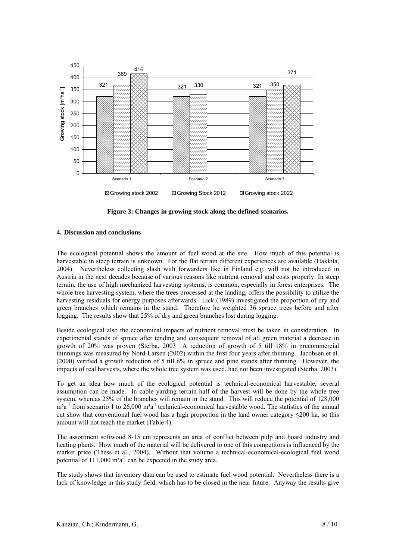

**Figure 3: Changes in growing stock along the defined scenarios.** 

# **4. Discussion and conclusions**

The ecological potential shows the amount of fuel wood at the site. How much of this potential is harvestable in steep terrain is unknown. For the flat terrain different experiences are available (Hakkila, 2004). Nevertheless collecting slash with forwarders like in Finland e.g. will not be introduced in Austria in the next decades because of various reasons like nutrient removal and costs properly. In steep terrain, the use of high mechanized harvesting systems, is common, especially in forest enterprises. The whole tree harvesting system, where the trees processed at the landing, offers the possibility to utilize the harvesting residuals for energy purposes afterwards. Lick (1989) investigated the proportion of dry and green branches which remains in the stand. Therefore he weighted 36 spruce trees before and after logging. The results show that 25% of dry and green branches lost during logging.

Beside ecological also the economical impacts of nutrient removal must be taken in consideration. In experimental stands of spruce after tending and consequent removal of all green material a decrease in growth of 20% was proven (Sterba, 2003 A reduction of growth of 5 till 18% in precommercial thinnings was measured by Nord-Larsen (2002) within the first four years after thinning. Jacobsen et al. (2000) verified a growth reduction of 5 till 6% in spruce and pine stands after thinning. However, the impacts of real harvests, where the whole tree system was used, had not been investigated (Sterba, 2003).

To get an idea how much of the ecological potential is technical-economical harvestable, several assumption can be made. In cable yarding terrain half of the harvest will be done by the whole tree system, whereas 25% of the branches will remain in the stand. This will reduce the potential of 128,000  $m<sup>3</sup>a<sup>-1</sup>$  from scenario 1 to 26,000  $m<sup>3</sup>a<sup>-1</sup>$  technical-economical harvestable wood. The statistics of the annual cut show that conventional fuel wood has a high proportion in the land owner category ≤200 ha, so this amount will not reach the market (Table 4).

The assortment softwood 8-15 cm represents an area of conflict between pulp and board industry and heating plants. How much of the material will be delivered to one of this competitors is influenced by the market price (Thess et al., 2004). Without that volume a technical-economical-ecological fuel wood potential of  $111,000 \text{ m}^3\text{a}^{-1}$  can be expected in the study area.

The study shows that inventory data can be used to estimate fuel wood potential. Nevertheless there is a lack of knowledge in this study field, which has to be closed in the near future. Anyway the results give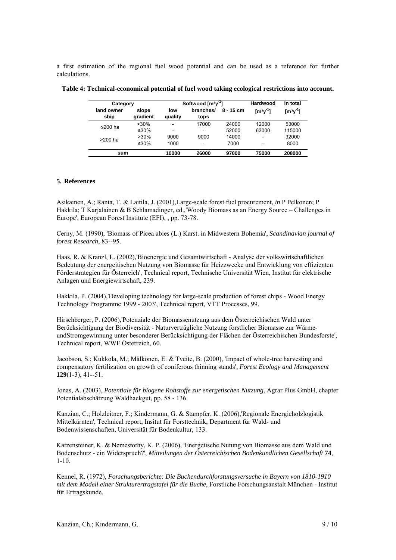a first estimation of the regional fuel wood potential and can be used as a reference for further calculations.

| Category           |                   | Softwood $[m3y-1]$       |                          |             | Hardwood                               | in total                               |
|--------------------|-------------------|--------------------------|--------------------------|-------------|----------------------------------------|----------------------------------------|
| land owner<br>ship | slope<br>gradient | low<br>quality           | branches/<br>tops        | $8 - 15$ cm | $\left[\text{m}^3\text{y}^{-1}\right]$ | $\left[\text{m}^3\text{y}^{-1}\right]$ |
| ≤200 ha            | $>30\%$           | $\overline{\phantom{0}}$ | 17000                    | 24000       | 12000                                  | 53000                                  |
|                    | ≤30%              | -                        | $\overline{\phantom{0}}$ | 52000       | 63000                                  | 115000                                 |
| >200 ha            | $>30\%$           | 9000                     | 9000                     | 14000       | -                                      | 32000                                  |
|                    | ≤30%              | 1000                     | $\overline{\phantom{0}}$ | 7000        | ۰                                      | 8000                                   |
| sum                |                   | 10000                    | 26000                    | 97000       | 75000                                  | 208000                                 |

**Table 4: Technical-economical potential of fuel wood taking ecological restrictions into account.** 

## **5. References**

Asikainen, A.; Ranta, T. & Laitila, J. (2001),Large-scale forest fuel procurement, *in* P Pelkonen; P Hakkila; T Karjalainen & B Schlamadinger, ed.,'Woody Biomass as an Energy Source – Challenges in Europe', European Forest Institute (EFI), , pp. 73-78.

Cerny, M. (1990), 'Biomass of Picea abies (L.) Karst. in Midwestern Bohemia', *Scandinavian journal of forest Research*, 83--95.

Haas, R. & Kranzl, L. (2002),'Bioenergie und Gesamtwirtschaft - Analyse der volkswirtschaftlichen Bedeutung der energeitischen Nutzung von Biomasse für Heizzwecke und Entwicklung von effizienten Förderstrategien für Österreich', Technical report, Technische Universität Wien, Institut für elektrische Anlagen und Energiewirtschaft, 239.

Hakkila, P. (2004),'Developing technology for large-scale production of forest chips - Wood Energy Technology Programme 1999 - 2003', Technical report, VTT Processes, 99.

Hirschberger, P. (2006),'Potenziale der Biomassenutzung aus dem Österreichischen Wald unter Berücksichtigung der Biodiversität - Naturverträgliche Nutzung forstlicher Biomasse zur WärmeundStromgewinnung unter besonderer Berücksichtigung der Flächen der Österreichischen Bundesforste', Technical report, WWF Österreich, 60.

Jacobson, S.; Kukkola, M.; Mälkönen, E. & Tveite, B. (2000), 'Impact of whole-tree harvesting and compensatory fertilization on growth of coniferous thinning stands', *Forest Ecology and Management* **129**(1-3), 41--51.

Jonas, A. (2003), *Potentiale für biogene Rohstoffe zur energetischen Nutzung*, Agrar Plus GmbH, chapter Potentialabschätzung Waldhackgut, pp. 58 - 136.

Kanzian, C.; Holzleitner, F.; Kindermann, G. & Stampfer, K. (2006),'Regionale Energieholzlogistik Mittelkärnten', Technical report, Insitut für Forsttechnik, Department für Wald- und Bodenwissenschaften, Universität für Bodenkultur, 133.

Katzensteiner, K. & Nemestothy, K. P. (2006), 'Energetische Nutung von Biomasse aus dem Wald und Bodenschutz - ein Widerspruch?', *Mitteilungen der Österreichischen Bodenkundlichen Gesellschaft* **74**, 1-10.

Kennel, R. (1972), *Forschungsberichte: Die Buchendurchforstungsversuche in Bayern von 1810-1910 mit dem Modell einer Strukturertragstafel für die Buche*, Forstliche Forschungsanstalt München - Institut für Ertragskunde.